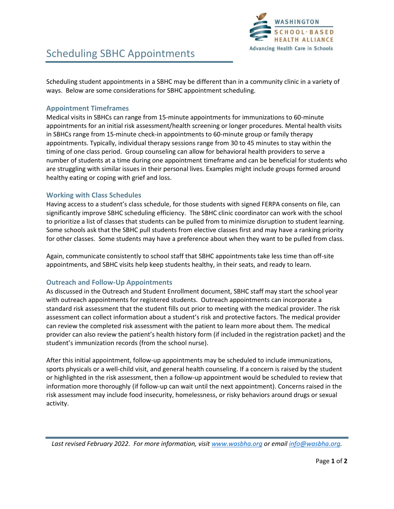

Scheduling student appointments in a SBHC may be different than in a community clinic in a variety of ways. Below are some considerations for SBHC appointment scheduling.

#### **Appointment Timeframes**

Medical visits in SBHCs can range from 15-minute appointments for immunizations to 60-minute appointments for an initial risk assessment/health screening or longer procedures. Mental health visits in SBHCs range from 15-minute check-in appointments to 60-minute group or family therapy appointments. Typically, individual therapy sessions range from 30 to 45 minutes to stay within the timing of one class period. Group counseling can allow for behavioral health providers to serve a number of students at a time during one appointment timeframe and can be beneficial for students who are struggling with similar issues in their personal lives. Examples might include groups formed around healthy eating or coping with grief and loss.

### **Working with Class Schedules**

Having access to a student's class schedule, for those students with signed FERPA consents on file, can significantly improve SBHC scheduling efficiency. The SBHC clinic coordinator can work with the school to prioritize a list of classes that students can be pulled from to minimize disruption to student learning. Some schools ask that the SBHC pull students from elective classes first and may have a ranking priority for other classes. Some students may have a preference about when they want to be pulled from class.

Again, communicate consistently to school staff that SBHC appointments take less time than off-site appointments, and SBHC visits help keep students healthy, in their seats, and ready to learn.

# **Outreach and Follow-Up Appointments**

As discussed in the Outreach and Student Enrollment document, SBHC staff may start the school year with outreach appointments for registered students. Outreach appointments can incorporate a standard risk assessment that the student fills out prior to meeting with the medical provider. The risk assessment can collect information about a student's risk and protective factors. The medical provider can review the completed risk assessment with the patient to learn more about them. The medical provider can also review the patient's health history form (if included in the registration packet) and the student's immunization records (from the school nurse).

After this initial appointment, follow-up appointments may be scheduled to include immunizations, sports physicals or a well-child visit, and general health counseling. If a concern is raised by the student or highlighted in the risk assessment, then a follow-up appointment would be scheduled to review that information more thoroughly (if follow-up can wait until the next appointment). Concerns raised in the risk assessment may include food insecurity, homelessness, or risky behaviors around drugs or sexual activity.

*Last revised February 2022. For more information, visi[t www.wasbha.org](http://www.wasbha.org/) or email [info@wasbha.org.](mailto:info@wasbha.org)*